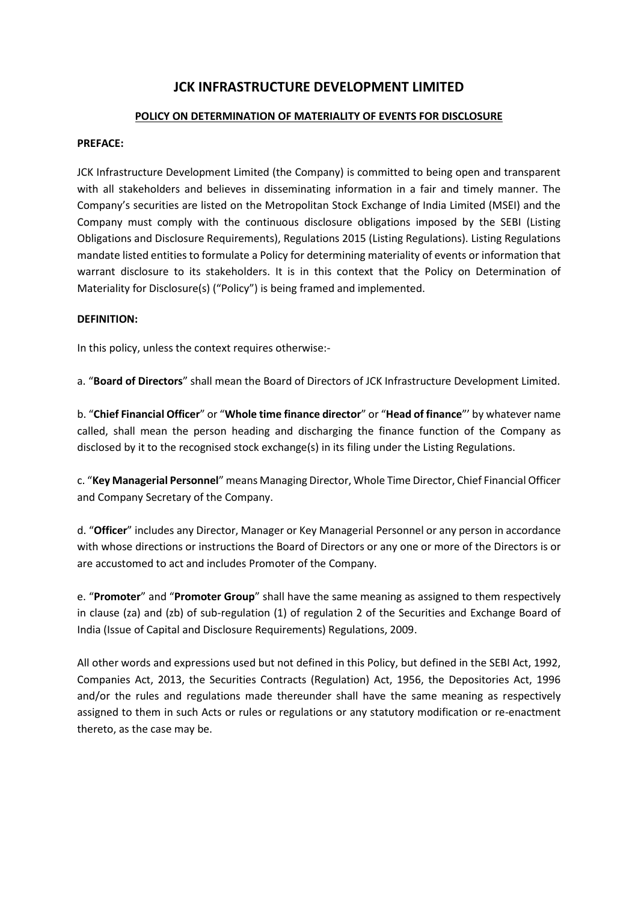# **JCK INFRASTRUCTURE DEVELOPMENT LIMITED**

## **POLICY ON DETERMINATION OF MATERIALITY OF EVENTS FOR DISCLOSURE**

#### **PREFACE:**

JCK Infrastructure Development Limited (the Company) is committed to being open and transparent with all stakeholders and believes in disseminating information in a fair and timely manner. The Company's securities are listed on the Metropolitan Stock Exchange of India Limited (MSEI) and the Company must comply with the continuous disclosure obligations imposed by the SEBI (Listing Obligations and Disclosure Requirements), Regulations 2015 (Listing Regulations). Listing Regulations mandate listed entities to formulate a Policy for determining materiality of events or information that warrant disclosure to its stakeholders. It is in this context that the Policy on Determination of Materiality for Disclosure(s) ("Policy") is being framed and implemented.

#### **DEFINITION:**

In this policy, unless the context requires otherwise:-

a. "**Board of Directors**" shall mean the Board of Directors of JCK Infrastructure Development Limited.

b. "**Chief Financial Officer**" or "**Whole time finance director**" or "**Head of finance**"' by whatever name called, shall mean the person heading and discharging the finance function of the Company as disclosed by it to the recognised stock exchange(s) in its filing under the Listing Regulations.

c. "**Key Managerial Personnel**" means Managing Director, Whole Time Director, Chief Financial Officer and Company Secretary of the Company.

d. "**Officer**" includes any Director, Manager or Key Managerial Personnel or any person in accordance with whose directions or instructions the Board of Directors or any one or more of the Directors is or are accustomed to act and includes Promoter of the Company.

e. "**Promoter**" and "**Promoter Group**" shall have the same meaning as assigned to them respectively in clause (za) and (zb) of sub-regulation (1) of regulation 2 of the Securities and Exchange Board of India (Issue of Capital and Disclosure Requirements) Regulations, 2009.

All other words and expressions used but not defined in this Policy, but defined in the SEBI Act, 1992, Companies Act, 2013, the Securities Contracts (Regulation) Act, 1956, the Depositories Act, 1996 and/or the rules and regulations made thereunder shall have the same meaning as respectively assigned to them in such Acts or rules or regulations or any statutory modification or re-enactment thereto, as the case may be.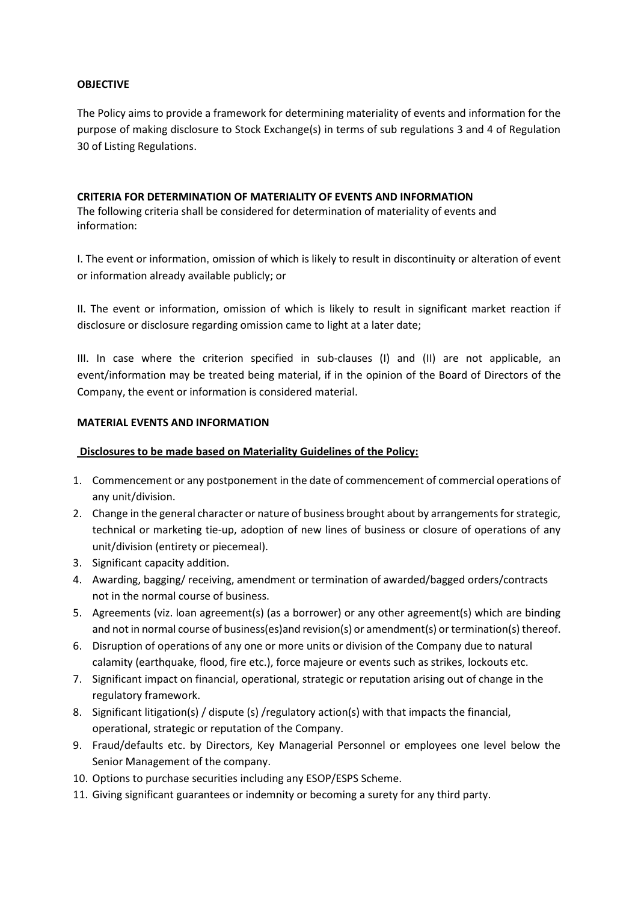## **OBJECTIVE**

The Policy aims to provide a framework for determining materiality of events and information for the purpose of making disclosure to Stock Exchange(s) in terms of sub regulations 3 and 4 of Regulation 30 of Listing Regulations.

### **CRITERIA FOR DETERMINATION OF MATERIALITY OF EVENTS AND INFORMATION**

The following criteria shall be considered for determination of materiality of events and information:

I. The event or information, omission of which is likely to result in discontinuity or alteration of event or information already available publicly; or

II. The event or information, omission of which is likely to result in significant market reaction if disclosure or disclosure regarding omission came to light at a later date;

III. In case where the criterion specified in sub-clauses (I) and (II) are not applicable, an event/information may be treated being material, if in the opinion of the Board of Directors of the Company, the event or information is considered material.

## **MATERIAL EVENTS AND INFORMATION**

## **Disclosures to be made based on Materiality Guidelines of the Policy:**

- 1. Commencement or any postponement in the date of commencement of commercial operations of any unit/division.
- 2. Change in the general character or nature of business brought about by arrangements for strategic, technical or marketing tie-up, adoption of new lines of business or closure of operations of any unit/division (entirety or piecemeal).
- 3. Significant capacity addition.
- 4. Awarding, bagging/ receiving, amendment or termination of awarded/bagged orders/contracts not in the normal course of business.
- 5. Agreements (viz. loan agreement(s) (as a borrower) or any other agreement(s) which are binding and not in normal course of business(es)and revision(s) or amendment(s) or termination(s) thereof.
- 6. Disruption of operations of any one or more units or division of the Company due to natural calamity (earthquake, flood, fire etc.), force majeure or events such as strikes, lockouts etc.
- 7. Significant impact on financial, operational, strategic or reputation arising out of change in the regulatory framework.
- 8. Significant litigation(s) / dispute (s) /regulatory action(s) with that impacts the financial, operational, strategic or reputation of the Company.
- 9. Fraud/defaults etc. by Directors, Key Managerial Personnel or employees one level below the Senior Management of the company.
- 10. Options to purchase securities including any ESOP/ESPS Scheme.
- 11. Giving significant guarantees or indemnity or becoming a surety for any third party.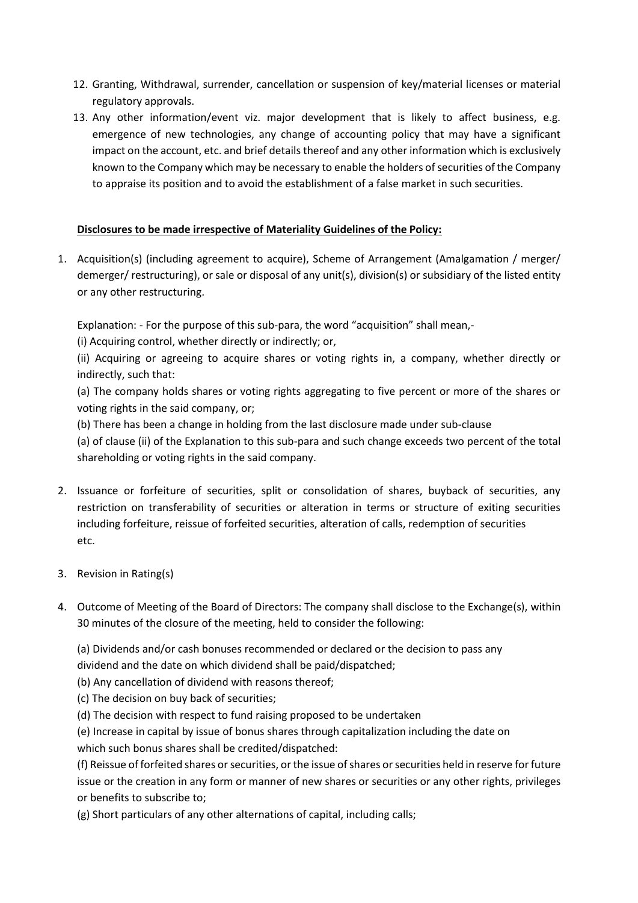- 12. Granting, Withdrawal, surrender, cancellation or suspension of key/material licenses or material regulatory approvals.
- 13. Any other information/event viz. major development that is likely to affect business, e.g. emergence of new technologies, any change of accounting policy that may have a significant impact on the account, etc. and brief details thereof and any other information which is exclusively known to the Company which may be necessary to enable the holders of securities of the Company to appraise its position and to avoid the establishment of a false market in such securities.

# **Disclosures to be made irrespective of Materiality Guidelines of the Policy:**

1. Acquisition(s) (including agreement to acquire), Scheme of Arrangement (Amalgamation / merger/ demerger/ restructuring), or sale or disposal of any unit(s), division(s) or subsidiary of the listed entity or any other restructuring.

Explanation: - For the purpose of this sub-para, the word "acquisition" shall mean,-

(i) Acquiring control, whether directly or indirectly; or,

(ii) Acquiring or agreeing to acquire shares or voting rights in, a company, whether directly or indirectly, such that:

(a) The company holds shares or voting rights aggregating to five percent or more of the shares or voting rights in the said company, or;

(b) There has been a change in holding from the last disclosure made under sub-clause

(a) of clause (ii) of the Explanation to this sub-para and such change exceeds two percent of the total shareholding or voting rights in the said company.

- 2. Issuance or forfeiture of securities, split or consolidation of shares, buyback of securities, any restriction on transferability of securities or alteration in terms or structure of exiting securities including forfeiture, reissue of forfeited securities, alteration of calls, redemption of securities etc.
- 3. Revision in Rating(s)
- 4. Outcome of Meeting of the Board of Directors: The company shall disclose to the Exchange(s), within 30 minutes of the closure of the meeting, held to consider the following:

(a) Dividends and/or cash bonuses recommended or declared or the decision to pass any dividend and the date on which dividend shall be paid/dispatched;

- (b) Any cancellation of dividend with reasons thereof;
- (c) The decision on buy back of securities;
- (d) The decision with respect to fund raising proposed to be undertaken

(e) Increase in capital by issue of bonus shares through capitalization including the date on which such bonus shares shall be credited/dispatched:

(f) Reissue of forfeited shares or securities, or the issue of shares or securities held in reserve for future issue or the creation in any form or manner of new shares or securities or any other rights, privileges or benefits to subscribe to;

(g) Short particulars of any other alternations of capital, including calls;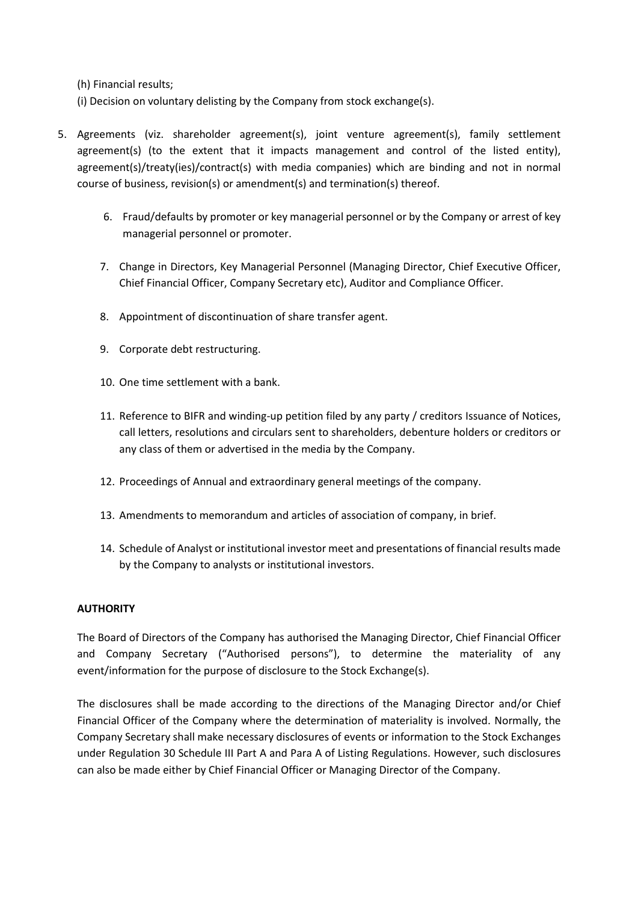(h) Financial results;

- (i) Decision on voluntary delisting by the Company from stock exchange(s).
- 5. Agreements (viz. shareholder agreement(s), joint venture agreement(s), family settlement agreement(s) (to the extent that it impacts management and control of the listed entity), agreement(s)/treaty(ies)/contract(s) with media companies) which are binding and not in normal course of business, revision(s) or amendment(s) and termination(s) thereof.
	- 6. Fraud/defaults by promoter or key managerial personnel or by the Company or arrest of key managerial personnel or promoter.
	- 7. Change in Directors, Key Managerial Personnel (Managing Director, Chief Executive Officer, Chief Financial Officer, Company Secretary etc), Auditor and Compliance Officer.
	- 8. Appointment of discontinuation of share transfer agent.
	- 9. Corporate debt restructuring.
	- 10. One time settlement with a bank.
	- 11. Reference to BIFR and winding-up petition filed by any party / creditors Issuance of Notices, call letters, resolutions and circulars sent to shareholders, debenture holders or creditors or any class of them or advertised in the media by the Company.
	- 12. Proceedings of Annual and extraordinary general meetings of the company.
	- 13. Amendments to memorandum and articles of association of company, in brief.
	- 14. Schedule of Analyst or institutional investor meet and presentations of financial results made by the Company to analysts or institutional investors.

#### **AUTHORITY**

The Board of Directors of the Company has authorised the Managing Director, Chief Financial Officer and Company Secretary ("Authorised persons"), to determine the materiality of any event/information for the purpose of disclosure to the Stock Exchange(s).

The disclosures shall be made according to the directions of the Managing Director and/or Chief Financial Officer of the Company where the determination of materiality is involved. Normally, the Company Secretary shall make necessary disclosures of events or information to the Stock Exchanges under Regulation 30 Schedule III Part A and Para A of Listing Regulations. However, such disclosures can also be made either by Chief Financial Officer or Managing Director of the Company.